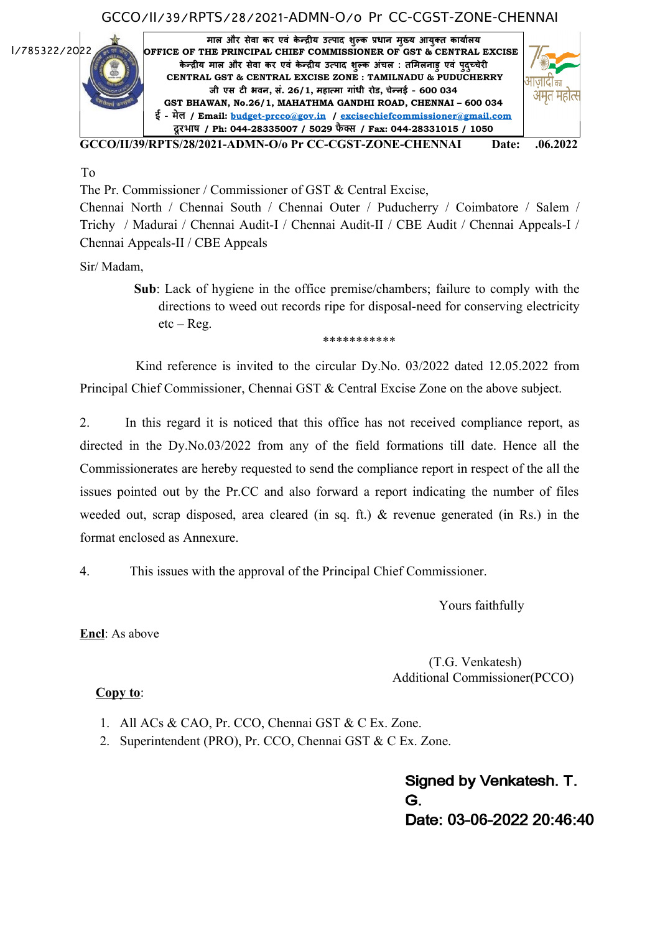### GCCO/II/39/RPTS/28/2021-ADMN-O/o Pr CC-CGST-ZONE-CHENNAI



To

The Pr. Commissioner / Commissioner of GST & Central Excise,

\*\*\*\*\*\*\*\*\*\*\*

Chennai North / Chennai South / Chennai Outer / Puducherry / Coimbatore / Salem / Trichy / Madurai / Chennai Audit-I / Chennai Audit-II / CBE Audit / Chennai Appeals-I / Chennai Appeals-II / CBE Appeals

Sir/ Madam,

 **Sub**: Lack of hygiene in the office premise/chambers; failure to comply with the directions to weed out records ripe for disposal-need for conserving electricity etc – Reg.

Kind reference is invited to the circular Dy.No. 03/2022 dated 12.05.2022 from Principal Chief Commissioner, Chennai GST & Central Excise Zone on the above subject.

2. In this regard it is noticed that this office has not received compliance report, as directed in the Dy.No.03/2022 from any of the field formations till date. Hence all the Commissionerates are hereby requested to send the compliance report in respect of the all the issues pointed out by the Pr.CC and also forward a report indicating the number of files weeded out, scrap disposed, area cleared (in sq. ft.) & revenue generated (in Rs.) in the format enclosed as Annexure.

4. This issues with the approval of the Principal Chief Commissioner.

Yours faithfully

**Encl**: As above

 (T.G. Venkatesh) Additional Commissioner(PCCO)

### **Copy to**:

- 1. All ACs & CAO, Pr. CCO, Chennai GST & C Ex. Zone.
- 2. Superintendent (PRO), Pr. CCO, Chennai GST & C Ex. Zone.

Signed by Venkatesh. T. G. Date: 03-06-2022 20:46:40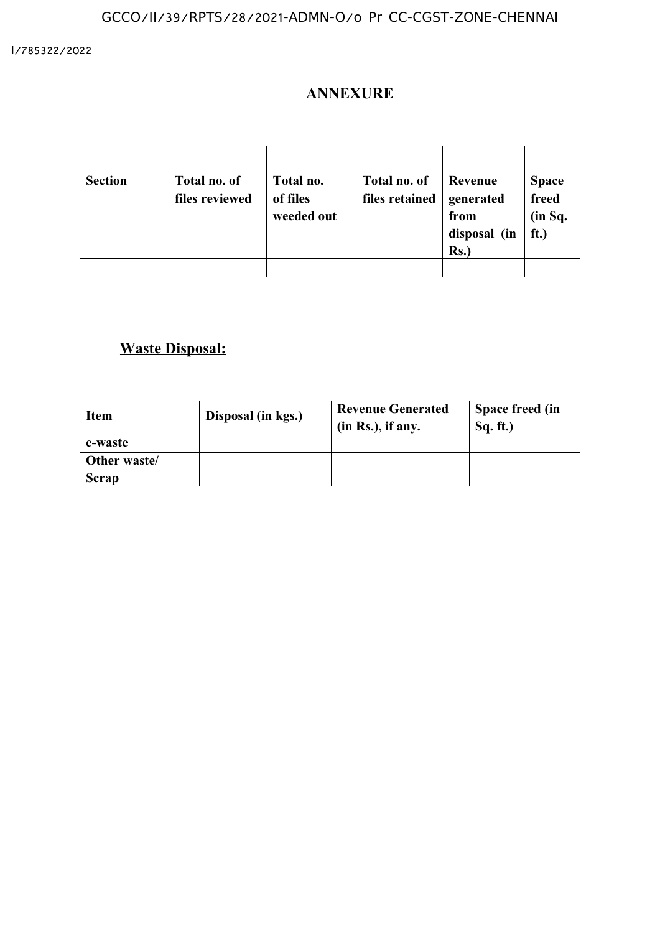## **ANNEXURE**

 $\overline{a}$ 

| <b>Section</b> | Total no. of<br>files reviewed | Total no.<br>of files<br>weeded out | Total no. of<br>files retained | Revenue<br>generated<br>from<br>disposal (in<br>Rs. | <b>Space</b><br>freed<br>(in Sq.<br>ft.) |
|----------------|--------------------------------|-------------------------------------|--------------------------------|-----------------------------------------------------|------------------------------------------|
|                |                                |                                     |                                |                                                     |                                          |

# **Waste Disposal:**

| Item         | Disposal (in kgs.) | <b>Revenue Generated</b><br>(in Rs.), if any. | Space freed (in<br>Sq. ft. |
|--------------|--------------------|-----------------------------------------------|----------------------------|
| e-waste      |                    |                                               |                            |
| Other waste/ |                    |                                               |                            |
| Scrap        |                    |                                               |                            |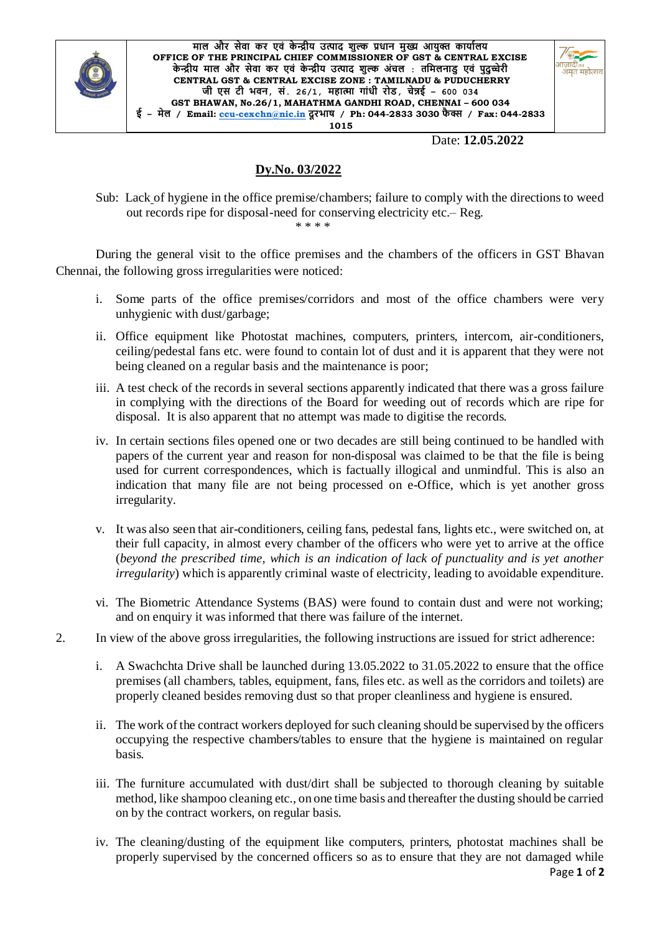

**माल और सेवा कर एवं के न्द्रीय उत्पाद शुल्क प्रधान मुख्य आयुक्त कायाालय OFFICE OF THE PRINCIPAL CHIEF COMMISSIONER OF GST & CENTRAL EXCISE के न्द्रीय माल और सेवा कर एवं के न्द्रीय उत्पाद शुल्क अंचल : तममलनाडु एवं पुदुच्चेरी CENTRAL GST & CENTRAL EXCISE ZONE : TAMILNADU & PUDUCHERRY जी एस टी भवन, सं. 26/1, महात्मा गांधी रोड, चेन्नई – 600 034 GST BHAWAN, No.26/1, MAHATHMA GANDHI ROAD, CHENNAI – 600 034 ई – मेल / Email: [ccu-cexchn@nic.in](mailto:ccu-cexchn@nic.in) दूरभाष / Ph: 044-2833 3030 फै क्स / Fax: 044-2833 1015**



Date: **12.05.2022**

#### **Dy.No. 03/2022**

Sub: Lack of hygiene in the office premise/chambers; failure to comply with the directions to weed out records ripe for disposal-need for conserving electricity etc.– Reg.

\* \* \* \*

During the general visit to the office premises and the chambers of the officers in GST Bhavan Chennai, the following gross irregularities were noticed:

- i. Some parts of the office premises/corridors and most of the office chambers were very unhygienic with dust/garbage;
- ii. Office equipment like Photostat machines, computers, printers, intercom, air-conditioners, ceiling/pedestal fans etc. were found to contain lot of dust and it is apparent that they were not being cleaned on a regular basis and the maintenance is poor;
- iii. A test check of the records in several sections apparently indicated that there was a gross failure in complying with the directions of the Board for weeding out of records which are ripe for disposal. It is also apparent that no attempt was made to digitise the records.
- iv. In certain sections files opened one or two decades are still being continued to be handled with papers of the current year and reason for non-disposal was claimed to be that the file is being used for current correspondences, which is factually illogical and unmindful. This is also an indication that many file are not being processed on e-Office, which is yet another gross irregularity.
- v. It was also seen that air-conditioners, ceiling fans, pedestal fans, lights etc., were switched on, at their full capacity, in almost every chamber of the officers who were yet to arrive at the office (*beyond the prescribed time, which is an indication of lack of punctuality and is yet another irregularity*) which is apparently criminal waste of electricity, leading to avoidable expenditure.
- vi. The Biometric Attendance Systems (BAS) were found to contain dust and were not working; and on enquiry it was informed that there was failure of the internet.
- 2. In view of the above gross irregularities, the following instructions are issued for strict adherence:
	- i. A Swachchta Drive shall be launched during 13.05.2022 to 31.05.2022 to ensure that the office premises (all chambers, tables, equipment, fans, files etc. as well as the corridors and toilets) are properly cleaned besides removing dust so that proper cleanliness and hygiene is ensured.
	- ii. The work of the contract workers deployed for such cleaning should be supervised by the officers occupying the respective chambers/tables to ensure that the hygiene is maintained on regular basis.
	- iii. The furniture accumulated with dust/dirt shall be subjected to thorough cleaning by suitable method, like shampoo cleaning etc., on one time basis and thereafter the dusting should be carried on by the contract workers, on regular basis.
	- Page **1** of **2** iv. The cleaning/dusting of the equipment like computers, printers, photostat machines shall be properly supervised by the concerned officers so as to ensure that they are not damaged while